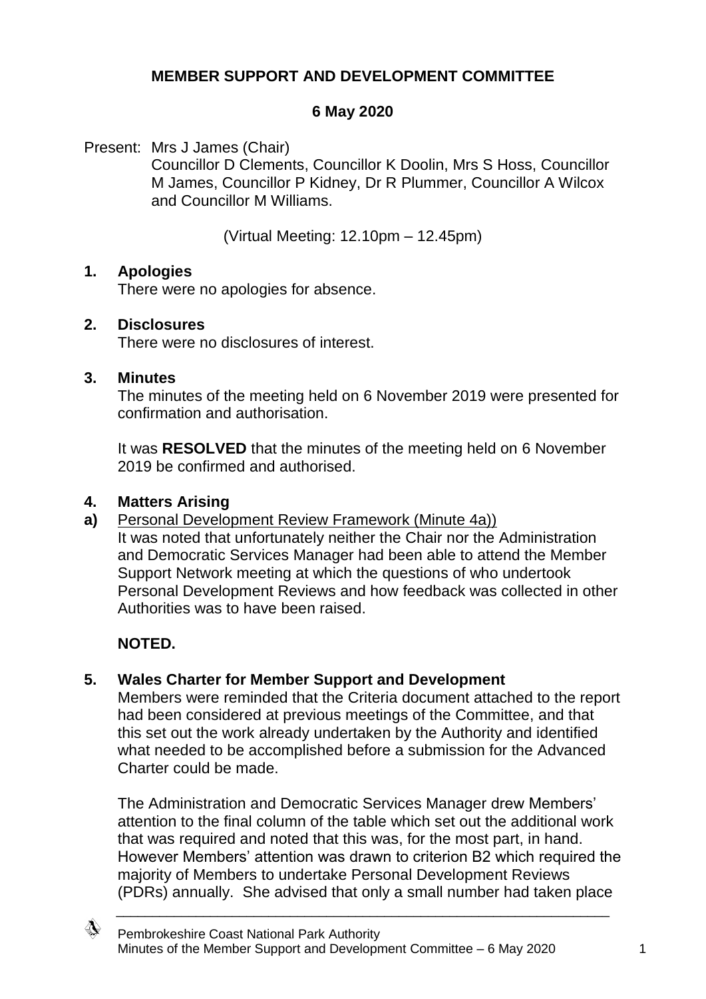# **MEMBER SUPPORT AND DEVELOPMENT COMMITTEE**

## **6 May 2020**

Present: Mrs J James (Chair)

Councillor D Clements, Councillor K Doolin, Mrs S Hoss, Councillor M James, Councillor P Kidney, Dr R Plummer, Councillor A Wilcox and Councillor M Williams.

(Virtual Meeting: 12.10pm – 12.45pm)

### **1. Apologies**

There were no apologies for absence.

### **2. Disclosures**

There were no disclosures of interest.

#### **3. Minutes**

The minutes of the meeting held on 6 November 2019 were presented for confirmation and authorisation.

It was **RESOLVED** that the minutes of the meeting held on 6 November 2019 be confirmed and authorised.

## **4. Matters Arising**

**a)** Personal Development Review Framework (Minute 4a))

It was noted that unfortunately neither the Chair nor the Administration and Democratic Services Manager had been able to attend the Member Support Network meeting at which the questions of who undertook Personal Development Reviews and how feedback was collected in other Authorities was to have been raised.

# **NOTED.**

# **5. Wales Charter for Member Support and Development**

Members were reminded that the Criteria document attached to the report had been considered at previous meetings of the Committee, and that this set out the work already undertaken by the Authority and identified what needed to be accomplished before a submission for the Advanced Charter could be made.

The Administration and Democratic Services Manager drew Members' attention to the final column of the table which set out the additional work that was required and noted that this was, for the most part, in hand. However Members' attention was drawn to criterion B2 which required the majority of Members to undertake Personal Development Reviews (PDRs) annually. She advised that only a small number had taken place

\_\_\_\_\_\_\_\_\_\_\_\_\_\_\_\_\_\_\_\_\_\_\_\_\_\_\_\_\_\_\_\_\_\_\_\_\_\_\_\_\_\_\_\_\_\_\_\_\_\_\_\_\_\_\_\_\_\_\_\_\_\_\_\_\_\_\_\_